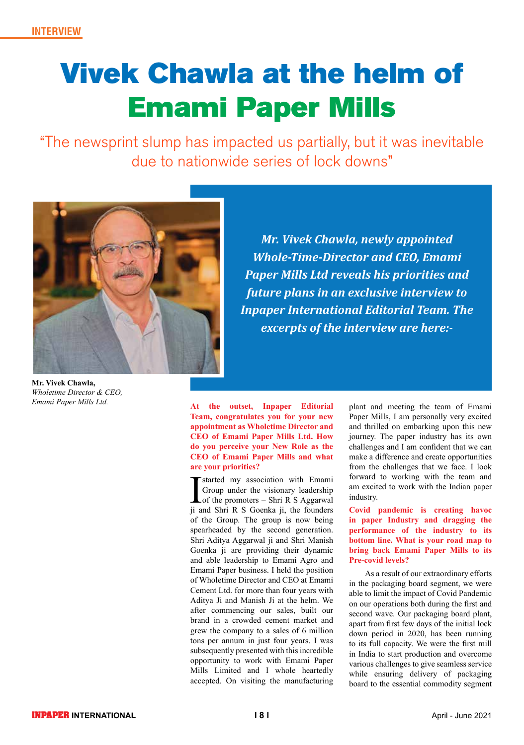# Vivek Chawla at the helm of Emami Paper Mills

"The newsprint slump has impacted us partially, but it was inevitable due to nationwide series of lock downs"



**Mr. Vivek Chawla,** *Wholetime Director & CEO, Emami Paper Mills Ltd.*

*Mr. Vivek Chawla, newly appointed Whole-Time-Director and CEO, Emami Paper Mills Ltd reveals his priorities and future plans in an exclusive interview to Inpaper International Editorial Team. The excerpts of the interview are here:-*

**At the outset, Inpaper Editorial Team, congratulates you for your new appointment as Wholetime Director and CEO of Emami Paper Mills Ltd. How do you perceive your New Role as the CEO of Emami Paper Mills and what are your priorities?**

Started my association with Emami<br>Group under the visionary leadership<br>of the promoters – Shri R S Aggarwal<br>ii and Shri R S Goenka ii the founders Group under the visionary leadership of the promoters – Shri R S Aggarwal ji and Shri R S Goenka ji, the founders of the Group. The group is now being spearheaded by the second generation. Shri Aditya Aggarwal ji and Shri Manish Goenka ji are providing their dynamic and able leadership to Emami Agro and Emami Paper business. I held the position of Wholetime Director and CEO at Emami Cement Ltd. for more than four years with Aditya Ji and Manish Ji at the helm. We after commencing our sales, built our brand in a crowded cement market and grew the company to a sales of 6 million tons per annum in just four years. I was subsequently presented with this incredible opportunity to work with Emami Paper Mills Limited and I whole heartedly accepted. On visiting the manufacturing

plant and meeting the team of Emami Paper Mills, I am personally very excited and thrilled on embarking upon this new journey. The paper industry has its own challenges and I am confident that we can make a difference and create opportunities from the challenges that we face. I look forward to working with the team and am excited to work with the Indian paper industry.

**Covid pandemic is creating havoc in paper Industry and dragging the performance of the industry to its bottom line. What is your road map to bring back Emami Paper Mills to its Pre-covid levels?**

As a result of our extraordinary efforts in the packaging board segment, we were able to limit the impact of Covid Pandemic on our operations both during the first and second wave. Our packaging board plant, apart from first few days of the initial lock down period in 2020, has been running to its full capacity. We were the first mill in India to start production and overcome various challenges to give seamless service while ensuring delivery of packaging board to the essential commodity segment